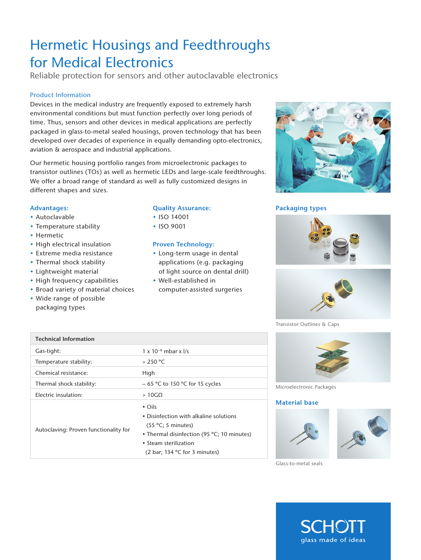# Hermetic Housings and Feedthroughs for Medical Electronics

Reliable protection for sensors and other autoclavable electronics

## Product Information

Devices in the medical industry are frequently exposed to extremely harsh environmental conditions but must function perfectly over long periods of time. Thus, sensors and other devices in medical applications are perfectly packaged in glass-to-metal sealed housings, proven technology that has been developed over decades of experience in equally demanding opto-electronics, aviation & aerospace and industrial applications.

Our hermetic housing portfolio ranges from microelectronic packages to transistor outlines (TOs) as well as hermetic LEDs and large-scale feedthroughs. We offer a broad range of standard as well as fully customized designs in different shapes and sizes.

## Advantages:

- Autoclavable
- Temperature stability
- Hermetic
- High electrical insulation
- Extreme media resistance
- Thermal shock stability
- Lightweight material
- High frequency capabilities
- Broad variety of material choices
- Wide range of possible packaging types

## Quality Assurance:

- ISO 14001
- ISO 9001

### Proven Technology:

- Long-term usage in dental applications (e.g. packaging of light source on dental drill)
- Well-established in computer-assisted surgeries



# Packaging types





Transistor Outlines & Caps



Microelectronic Packages

#### **Material base**





Glass-to-metal seals



| <b>Technical Information</b>          |                                                                                                                                                                                               |
|---------------------------------------|-----------------------------------------------------------------------------------------------------------------------------------------------------------------------------------------------|
| Gas-tight:                            | $1 \times 10^{-8}$ mbar x I/s                                                                                                                                                                 |
| Temperature stability:                | > 250 °C                                                                                                                                                                                      |
| Chemical resistance:                  | High                                                                                                                                                                                          |
| Thermal shock stability:              | $-65$ °C to 150 °C for 15 cycles                                                                                                                                                              |
| Electric insulation:                  | $>10$ G $\Omega$                                                                                                                                                                              |
| Autoclaving: Proven functionality for | $\cdot$ Oils<br>• Disinfection with alkaline solutions<br>(55 °C; 5 minutes)<br>• Thermal disinfection (95 °C; 10 minutes)<br>• Steam sterilization<br>(2 bar; 134 $\degree$ C for 3 minutes) |